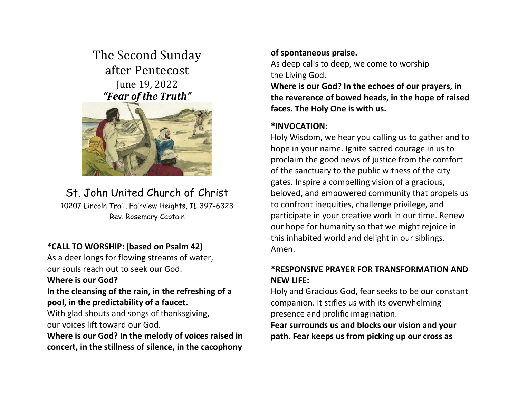# The Second Sunday after Pentecost June 19, 2022 *"Fear of the Truth"*



# St. John United Church of Christ

10207 Lincoln Trail, Fairview Heights, IL 397-6323 Rev. Rosemary Captain

## **\*CALL TO WORSHIP: (based on Psalm 42)**

As a deer longs for flowing streams of water, our souls reach out to seek our God.

#### **Where is our God?**

## **In the cleansing of the rain, in the refreshing of a pool, in the predictability of a faucet.**

With glad shouts and songs of thanksgiving, our voices lift toward our God.

**Where is our God? In the melody of voices raised in concert, in the stillness of silence, in the cacophony** 

## **of spontaneous praise.**

As deep calls to deep, we come to worship the Living God.

**Where is our God? In the echoes of our prayers, in the reverence of bowed heads, in the hope of raised faces. The Holy One is with us.**

## **\*INVOCATION:**

Holy Wisdom, we hear you calling us to gather and to hope in your name. Ignite sacred courage in us to proclaim the good news of justice from the comfort of the sanctuary to the public witness of the city gates. Inspire a compelling vision of a gracious, beloved, and empowered community that propels us to confront inequities, challenge privilege, and participate in your creative work in our time. Renew our hope for humanity so that we might rejoice in this inhabited world and delight in our siblings. Amen.

## **\*RESPONSIVE PRAYER FOR TRANSFORMATION AND NEW LIFE:**

Holy and Gracious God, fear seeks to be our constant companion. It stifles us with its overwhelming presence and prolific imagination.

**Fear surrounds us and blocks our vision and your path. Fear keeps us from picking up our cross as**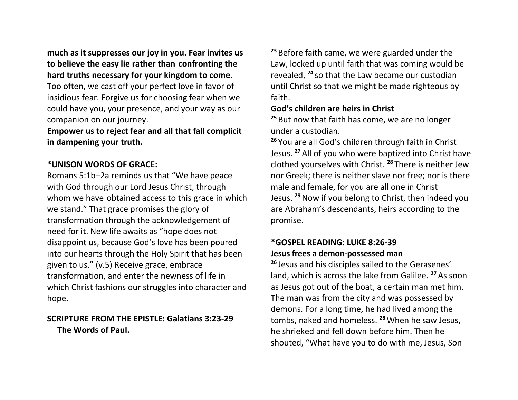**much as it suppresses our joy in you. Fear invites us to believe the easy lie rather than confronting the hard truths necessary for your kingdom to come.** 

Too often, we cast off your perfect love in favor of insidious fear. Forgive us for choosing fear when we could have you, your presence, and your way as our companion on our journey.

**Empower us to reject fear and all that fall complicit in dampening your truth.**

## **\*UNISON WORDS OF GRACE:**

Romans 5:1b–2a reminds us that "We have peace with God through our Lord Jesus Christ, through whom we have obtained access to this grace in which we stand." That grace promises the glory of transformation through the acknowledgement of need for it. New life awaits as "hope does not disappoint us, because God's love has been poured into our hearts through the Holy Spirit that has been given to us." (v.5) Receive grace, embrace transformation, and enter the newness of life in which Christ fashions our struggles into character and hope.

## **SCRIPTURE FROM THE EPISTLE: Galatians 3:23-29 The Words of Paul.**

**<sup>23</sup>** Before faith came, we were guarded under the Law, locked up until faith that was coming would be revealed, **<sup>24</sup>** so that the Law became our custodian until Christ so that we might be made righteous by faith.

## **God's children are heirs in Christ**

**<sup>25</sup>** But now that faith has come, we are no longer under a custodian.

**<sup>26</sup>** You are all God's children through faith in Christ Jesus. **<sup>27</sup>** All of you who were baptized into Christ have clothed yourselves with Christ. **<sup>28</sup>** There is neither Jew nor Greek; there is neither slave nor free; nor is there male and female, for you are all one in Christ Jesus. **<sup>29</sup>**Now if you belong to Christ, then indeed you are Abraham's descendants, heirs according to the promise.

## **\*GOSPEL READING: LUKE 8:26-39 Jesus frees a demon-possessed man**

**<sup>26</sup>** Jesus and his disciples sailed to the Gerasenes' land, which is across the lake from Galilee. **<sup>27</sup>** As soon as Jesus got out of the boat, a certain man met him. The man was from the city and was possessed by demons. For a long time, he had lived among the tombs, naked and homeless. **<sup>28</sup>**When he saw Jesus, he shrieked and fell down before him. Then he shouted, "What have you to do with me, Jesus, Son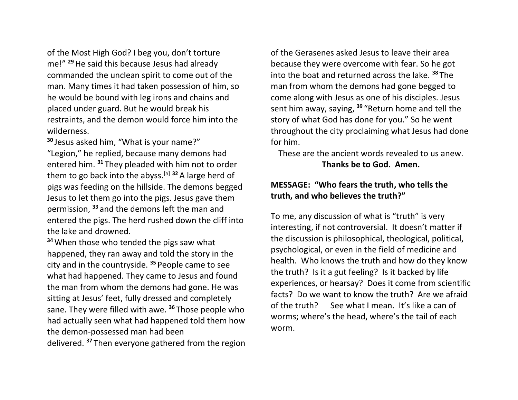of the Most High God? I beg you, don't torture me!" **<sup>29</sup>**He said this because Jesus had already commanded the unclean spirit to come out of the man. Many times it had taken possession of him, so he would be bound with leg irons and chains and placed under guard. But he would break his restraints, and the demon would force him into the wilderness.

**<sup>30</sup>** Jesus asked him, "What is your name?" "Legion," he replied, because many demons had entered him. **<sup>31</sup>** They pleaded with him not to order them to go back into the abyss.[\[a\]](https://www.biblegateway.com/passage/?search=Luke+8%3A26-39&version=CEB&interface=print#fen-CEB-25268a) **<sup>32</sup>** A large herd of pigs was feeding on the hillside. The demons begged Jesus to let them go into the pigs. Jesus gave them permission, **<sup>33</sup>** and the demons left the man and entered the pigs. The herd rushed down the cliff into the lake and drowned.

**<sup>34</sup>**When those who tended the pigs saw what happened, they ran away and told the story in the city and in the countryside. **<sup>35</sup>** People came to see what had happened. They came to Jesus and found the man from whom the demons had gone. He was sitting at Jesus' feet, fully dressed and completely sane. They were filled with awe. **<sup>36</sup>** Those people who had actually seen what had happened told them how the demon-possessed man had been

delivered. **<sup>37</sup>** Then everyone gathered from the region

of the Gerasenes asked Jesus to leave their area because they were overcome with fear. So he got into the boat and returned across the lake. **<sup>38</sup>** The man from whom the demons had gone begged to come along with Jesus as one of his disciples. Jesus sent him away, saying, **<sup>39</sup>** "Return home and tell the story of what God has done for you." So he went throughout the city proclaiming what Jesus had done for him.

These are the ancient words revealed to us anew. **Thanks be to God. Amen.**

## **MESSAGE: "Who fears the truth, who tells the truth, and who believes the truth?"**

To me, any discussion of what is "truth" is very interesting, if not controversial. It doesn't matter if the discussion is philosophical, theological, political, psychological, or even in the field of medicine and health. Who knows the truth and how do they know the truth? Is it a gut feeling? Is it backed by life experiences, or hearsay? Does it come from scientific facts? Do we want to know the truth? Are we afraid of the truth? See what I mean. It's like a can of worms; where's the head, where's the tail of each worm.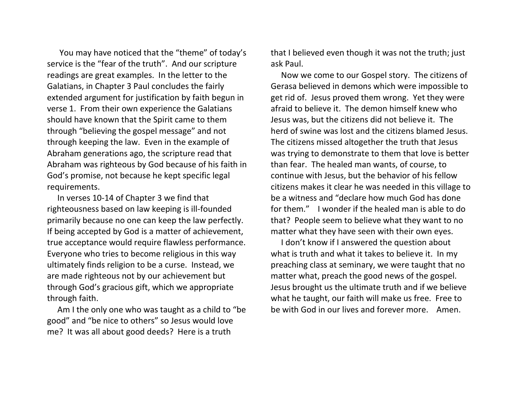You may have noticed that the "theme" of today's service is the "fear of the truth". And our scripture readings are great examples. In the letter to the Galatians, in Chapter 3 Paul concludes the fairly extended argument for justification by faith begun in verse 1. From their own experience the Galatians should have known that the Spirit came to them through "believing the gospel message" and not through keeping the law. Even in the example of Abraham generations ago, the scripture read that Abraham was righteous by God because of his faith in God's promise, not because he kept specific legal requirements.

 In verses 10-14 of Chapter 3 we find that righteousness based on law keeping is ill-founded primarily because no one can keep the law perfectly. If being accepted by God is a matter of achievement, true acceptance would require flawless performance. Everyone who tries to become religious in this way ultimately finds religion to be a curse. Instead, we are made righteous not by our achievement but through God's gracious gift, which we appropriate through faith.

 Am I the only one who was taught as a child to "be good" and "be nice to others" so Jesus would love me? It was all about good deeds? Here is a truth

that I believed even though it was not the truth; just ask Paul.

 Now we come to our Gospel story. The citizens of Gerasa believed in demons which were impossible to get rid of. Jesus proved them wrong. Yet they were afraid to believe it. The demon himself knew who Jesus was, but the citizens did not believe it. The herd of swine was lost and the citizens blamed Jesus. The citizens missed altogether the truth that Jesus was trying to demonstrate to them that love is better than fear. The healed man wants, of course, to continue with Jesus, but the behavior of his fellow citizens makes it clear he was needed in this village to be a witness and "declare how much God has done for them." I wonder if the healed man is able to do that? People seem to believe what they want to no matter what they have seen with their own eyes.

 I don't know if I answered the question about what is truth and what it takes to believe it. In my preaching class at seminary, we were taught that no matter what, preach the good news of the gospel. Jesus brought us the ultimate truth and if we believe what he taught, our faith will make us free. Free to be with God in our lives and forever more. Amen.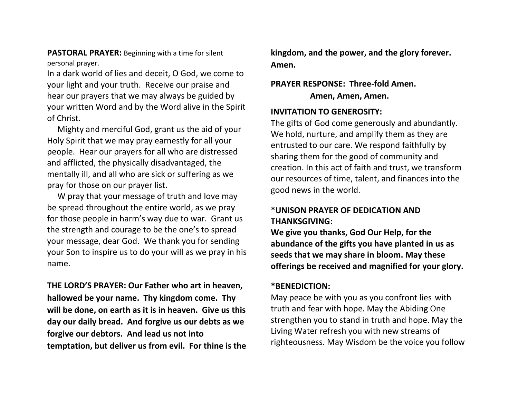**PASTORAL PRAYER:** Beginning with a time for silent personal prayer.

In a dark world of lies and deceit, O God, we come to your light and your truth. Receive our praise and hear our prayers that we may always be guided by your written Word and by the Word alive in the Spirit of Christ.

 Mighty and merciful God, grant us the aid of your Holy Spirit that we may pray earnestly for all your people. Hear our prayers for all who are distressed and afflicted, the physically disadvantaged, the mentally ill, and all who are sick or suffering as we pray for those on our prayer list.

 W pray that your message of truth and love may be spread throughout the entire world, as we pray for those people in harm's way due to war. Grant us the strength and courage to be the one's to spread your message, dear God. We thank you for sending your Son to inspire us to do your will as we pray in his name.

**THE LORD'S PRAYER: Our Father who art in heaven, hallowed be your name. Thy kingdom come. Thy will be done, on earth as it is in heaven. Give us this day our daily bread. And forgive us our debts as we forgive our debtors. And lead us not into temptation, but deliver us from evil. For thine is the**  **kingdom, and the power, and the glory forever. Amen.**

## **PRAYER RESPONSE: Three-fold Amen. Amen, Amen, Amen.**

#### **INVITATION TO GENEROSITY:**

The gifts of God come generously and abundantly. We hold, nurture, and amplify them as they are entrusted to our care. We respond faithfully by sharing them for the good of community and creation. In this act of faith and trust, we transform our resources of time, talent, and finances into the good news in the world.

## **\*UNISON PRAYER OF DEDICATION AND THANKSGIVING:**

**We give you thanks, God Our Help, for the abundance of the gifts you have planted in us as seeds that we may share in bloom. May these offerings be received and magnified for your glory.**

#### **\*BENEDICTION:**

May peace be with you as you confront lies with truth and fear with hope. May the Abiding One strengthen you to stand in truth and hope. May the Living Water refresh you with new streams of righteousness. May Wisdom be the voice you follow